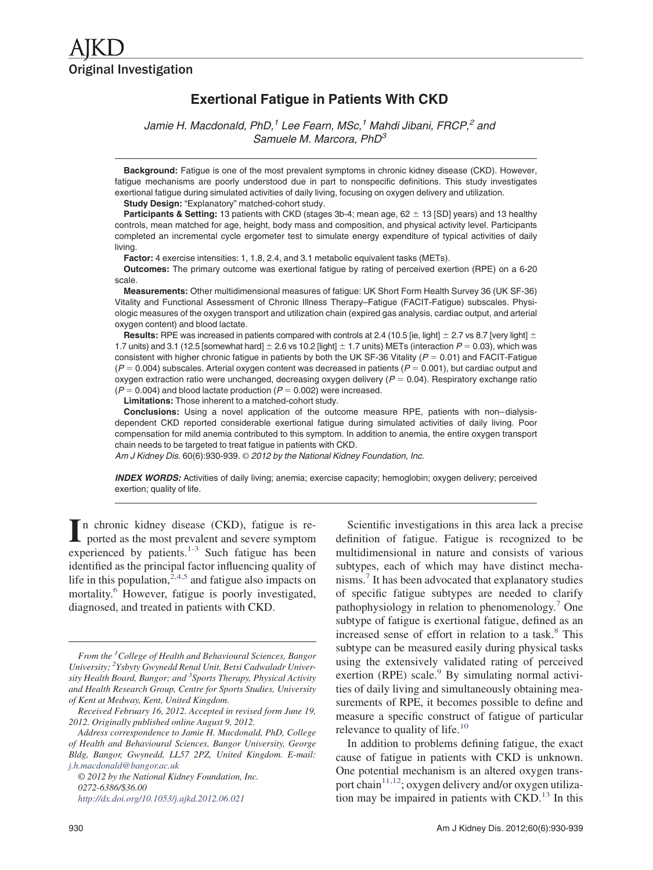## **Exertional Fatigue in Patients With CKD**

*Jamie H. Macdonald, PhD,1 Lee Fearn, MSc,1 Mahdi Jibani, FRCP,2 and Samuele M. Marcora, PhD3*

**Background:** Fatigue is one of the most prevalent symptoms in chronic kidney disease (CKD). However, fatigue mechanisms are poorly understood due in part to nonspecific definitions. This study investigates exertional fatigue during simulated activities of daily living, focusing on oxygen delivery and utilization.

**Study Design:** "Explanatory" matched-cohort study.

**Participants & Setting:** 13 patients with CKD (stages 3b-4; mean age, 62  $\pm$  13 [SD] years) and 13 healthy controls, mean matched for age, height, body mass and composition, and physical activity level. Participants completed an incremental cycle ergometer test to simulate energy expenditure of typical activities of daily living.

**Factor:** 4 exercise intensities: 1, 1.8, 2.4, and 3.1 metabolic equivalent tasks (METs).

**Outcomes:** The primary outcome was exertional fatigue by rating of perceived exertion (RPE) on a 6-20 scale.

**Measurements:** Other multidimensional measures of fatigue: UK Short Form Health Survey 36 (UK SF-36) Vitality and Functional Assessment of Chronic Illness Therapy–Fatigue (FACIT-Fatigue) subscales. Physiologic measures of the oxygen transport and utilization chain (expired gas analysis, cardiac output, and arterial oxygen content) and blood lactate.

**Results:** RPE was increased in patients compared with controls at 2.4 (10.5 [ie, light]  $\pm$  2.7 vs 8.7 [very light]  $\pm$ 1.7 units) and 3.1 (12.5 [somewhat hard]  $\pm$  2.6 vs 10.2 [light]  $\pm$  1.7 units) METs (interaction  $P$  = 0.03), which was consistent with higher chronic fatigue in patients by both the UK SF-36 Vitality (P = 0.01) and FACIT-Fatigue  $(\textit{P} = 0.004)$  subscales. Arterial oxygen content was decreased in patients ( $\textit{P} = 0.001$ ), but cardiac output and oxygen extraction ratio were unchanged, decreasing oxygen delivery ( $P = 0.04$ ). Respiratory exchange ratio  $(P = 0.004)$  and blood lactate production  $(P = 0.002)$  were increased.

**Limitations:** Those inherent to a matched-cohort study.

**Conclusions:** Using a novel application of the outcome measure RPE, patients with non–dialysisdependent CKD reported considerable exertional fatigue during simulated activities of daily living. Poor compensation for mild anemia contributed to this symptom. In addition to anemia, the entire oxygen transport chain needs to be targeted to treat fatigue in patients with CKD.

*Am J Kidney Dis.* 60(6):930-939. © *2012 by the National Kidney Foundation, Inc.*

*INDEX WORDS:* Activities of daily living; anemia; exercise capacity; hemoglobin; oxygen delivery; perceived exertion; quality of life.

In chronic kidney disease (CKD), fatigue is reported as the most prevalent and severe symptom experienced by patients. $1-3$  Such fatigue has been identified as the principal factor influencing quality of life in this population,  $2,4,5$  and fatigue also impacts on mortality.<sup>6</sup> However, fatigue is poorly investigated, diagnosed, and treated in patients with CKD.

© *2012 by the National Kidney Foundation, Inc. 0272-6386/\$36.00 <http://dx.doi.org/10.1053/j.ajkd.2012.06.021>*

Scientific investigations in this area lack a precise definition of fatigue. Fatigue is recognized to be multidimensional in nature and consists of various subtypes, each of which may have distinct mechanisms[.7](#page-8-2) It has been advocated that explanatory studies of specific fatigue subtypes are needed to clarify pathophysiology in relation to phenomenology.[7](#page-8-2) One subtype of fatigue is exertional fatigue, defined as an increased sense of effort in relation to a task.<sup>[8](#page-8-3)</sup> This subtype can be measured easily during physical tasks using the extensively validated rating of perceived exertion (RPE) scale. $9$  By simulating normal activities of daily living and simultaneously obtaining measurements of RPE, it becomes possible to define and measure a specific construct of fatigue of particular relevance to quality of life.<sup>[10](#page-8-5)</sup>

In addition to problems defining fatigue, the exact cause of fatigue in patients with CKD is unknown. One potential mechanism is an altered oxygen transport chain<sup>11,12</sup>; oxygen delivery and/or oxygen utilization may be impaired in patients with  $CKD$ .<sup>[13](#page-8-7)</sup> In this

*From the <sup>1</sup> College of Health and Behavioural Sciences, Bangor University; <sup>2</sup> Ysbyty Gwynedd Renal Unit, Betsi Cadwaladr University Health Board, Bangor; and <sup>3</sup> Sports Therapy, Physical Activity and Health Research Group, Centre for Sports Studies, University of Kent at Medway, Kent, United Kingdom.*

*Received February 16, 2012. Accepted in revised form June 19, 2012. Originally published online August 9, 2012.*

*Address correspondence to Jamie H. Macdonald, PhD, College of Health and Behavioural Sciences, Bangor University, George Bldg, Bangor, Gwynedd, LL57 2PZ, United Kingdom. E-mail: [j.h.macdonald@bangor.ac.uk](mailto:j.h.macdonald@bangor.ac.uk)*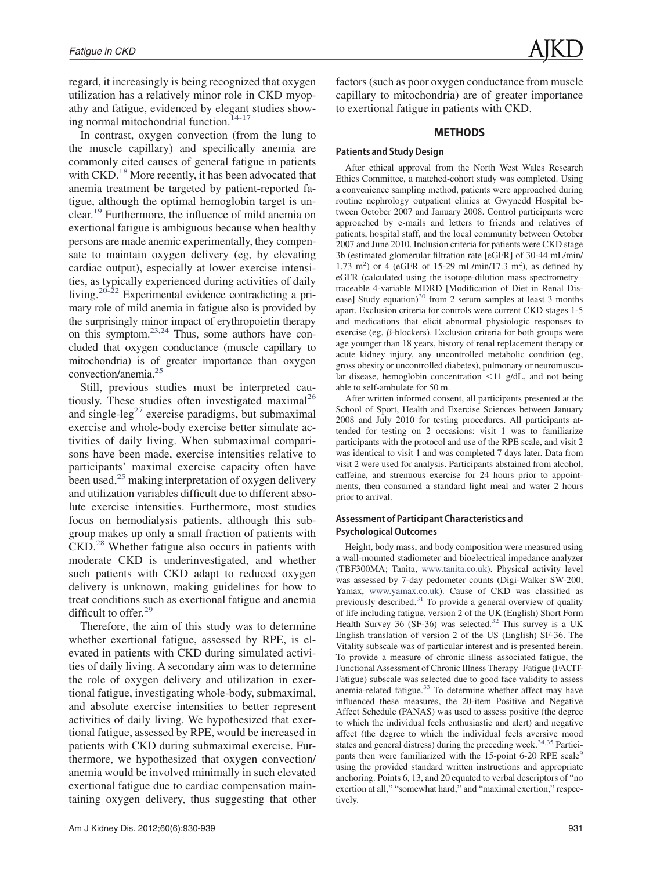regard, it increasingly is being recognized that oxygen utilization has a relatively minor role in CKD myopathy and fatigue, evidenced by elegant studies show-ing normal mitochondrial function.<sup>[14-17](#page-8-8)</sup>

In contrast, oxygen convection (from the lung to the muscle capillary) and specifically anemia are commonly cited causes of general fatigue in patients with  $CKD<sup>18</sup>$  $CKD<sup>18</sup>$  $CKD<sup>18</sup>$  More recently, it has been advocated that anemia treatment be targeted by patient-reported fatigue, although the optimal hemoglobin target is unclear[.19](#page-8-10) Furthermore, the influence of mild anemia on exertional fatigue is ambiguous because when healthy persons are made anemic experimentally, they compensate to maintain oxygen delivery (eg, by elevating cardiac output), especially at lower exercise intensities, as typically experienced during activities of daily living.[20-22](#page-8-11) Experimental evidence contradicting a primary role of mild anemia in fatigue also is provided by the surprisingly minor impact of erythropoietin therapy on this symptom[.23,24](#page-8-12) Thus, some authors have concluded that oxygen conductance (muscle capillary to mitochondria) is of greater importance than oxygen convection/anemia[.25](#page-8-13)

Still, previous studies must be interpreted cau-tiously. These studies often investigated maximal<sup>[26](#page-8-14)</sup> and single-leg<sup>[27](#page-8-15)</sup> exercise paradigms, but submaximal exercise and whole-body exercise better simulate activities of daily living. When submaximal comparisons have been made, exercise intensities relative to participants' maximal exercise capacity often have been used, $25$  making interpretation of oxygen delivery and utilization variables difficult due to different absolute exercise intensities. Furthermore, most studies focus on hemodialysis patients, although this subgroup makes up only a small fraction of patients with CKD[.28](#page-8-16) Whether fatigue also occurs in patients with moderate CKD is underinvestigated, and whether such patients with CKD adapt to reduced oxygen delivery is unknown, making guidelines for how to treat conditions such as exertional fatigue and anemia difficult to offer.<sup>[29](#page-8-17)</sup>

Therefore, the aim of this study was to determine whether exertional fatigue, assessed by RPE, is elevated in patients with CKD during simulated activities of daily living. A secondary aim was to determine the role of oxygen delivery and utilization in exertional fatigue, investigating whole-body, submaximal, and absolute exercise intensities to better represent activities of daily living. We hypothesized that exertional fatigue, assessed by RPE, would be increased in patients with CKD during submaximal exercise. Furthermore, we hypothesized that oxygen convection/ anemia would be involved minimally in such elevated exertional fatigue due to cardiac compensation maintaining oxygen delivery, thus suggesting that other

factors (such as poor oxygen conductance from muscle capillary to mitochondria) are of greater importance to exertional fatigue in patients with CKD.

#### **METHODS**

#### **Patients and Study Design**

After ethical approval from the North West Wales Research Ethics Committee, a matched-cohort study was completed. Using a convenience sampling method, patients were approached during routine nephrology outpatient clinics at Gwynedd Hospital between October 2007 and January 2008. Control participants were approached by e-mails and letters to friends and relatives of patients, hospital staff, and the local community between October 2007 and June 2010. Inclusion criteria for patients were CKD stage 3b (estimated glomerular filtration rate [eGFR] of 30-44 mL/min/ 1.73 m<sup>2</sup>) or 4 (eGFR of 15-29 mL/min/17.3 m<sup>2</sup>), as defined by eGFR (calculated using the isotope-dilution mass spectrometry– traceable 4-variable MDRD [Modification of Diet in Renal Disease] Study equation) $30$  from 2 serum samples at least 3 months apart. Exclusion criteria for controls were current CKD stages 1-5 and medications that elicit abnormal physiologic responses to exercise (eg,  $\beta$ -blockers). Exclusion criteria for both groups were age younger than 18 years, history of renal replacement therapy or acute kidney injury, any uncontrolled metabolic condition (eg, gross obesity or uncontrolled diabetes), pulmonary or neuromuscular disease, hemoglobin concentration  $\leq 11$  g/dL, and not being able to self-ambulate for 50 m.

After written informed consent, all participants presented at the School of Sport, Health and Exercise Sciences between January 2008 and July 2010 for testing procedures. All participants attended for testing on 2 occasions: visit 1 was to familiarize participants with the protocol and use of the RPE scale, and visit 2 was identical to visit 1 and was completed 7 days later. Data from visit 2 were used for analysis. Participants abstained from alcohol, caffeine, and strenuous exercise for 24 hours prior to appointments, then consumed a standard light meal and water 2 hours prior to arrival.

#### **Assessment of Participant Characteristics and Psychological Outcomes**

Height, body mass, and body composition were measured using a wall-mounted stadiometer and bioelectrical impedance analyzer (TBF300MA; Tanita, [www.tanita.co.uk\)](http://www.tanita.co.uk). Physical activity level was assessed by 7-day pedometer counts (Digi-Walker SW-200; Yamax, [www.yamax.co.uk\)](http://www.yamax.co.uk). Cause of CKD was classified as previously described[.31](#page-8-19) To provide a general overview of quality of life including fatigue, version 2 of the UK (English) Short Form Health Survey 36 (SF-36) was selected.<sup>[32](#page-8-20)</sup> This survey is a UK English translation of version 2 of the US (English) SF-36. The Vitality subscale was of particular interest and is presented herein. To provide a measure of chronic illness–associated fatigue, the Functional Assessment of Chronic Illness Therapy–Fatigue (FACIT-Fatigue) subscale was selected due to good face validity to assess anemia-related fatigue.<sup>33</sup> To determine whether affect may have influenced these measures, the 20-item Positive and Negative Affect Schedule (PANAS) was used to assess positive (the degree to which the individual feels enthusiastic and alert) and negative affect (the degree to which the individual feels aversive mood states and general distress) during the preceding week.<sup>[34,35](#page-8-22)</sup> Participants then were familiarized with the 15-point 6-20 RPE scale<sup>9</sup> using the provided standard written instructions and appropriate anchoring. Points 6, 13, and 20 equated to verbal descriptors of "no exertion at all," "somewhat hard," and "maximal exertion," respectively.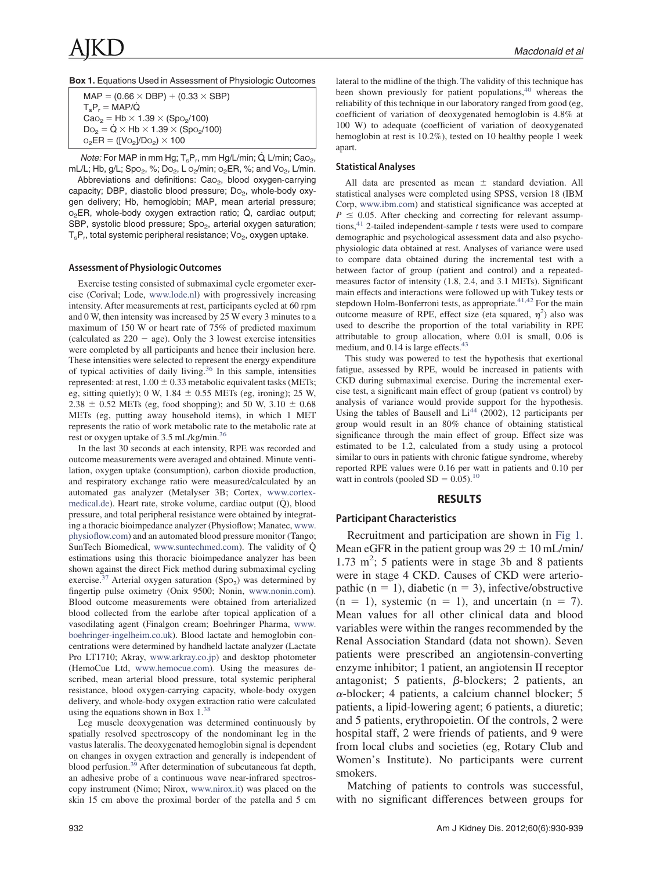# JKI)

**Box 1.** Equations Used in Assessment of Physiologic Outcomes

 $\textsf{MAP} = (0.66 \times \textsf{DBP}) + (0.33 \times \textsf{SBP})$  $T_s P_r = MAP/\dot{Q}$  $\text{Cao}_2 = \text{Hb} \times 1.39 \times (\text{Spo}_2/100)$  $Do_2 = \dot{Q} \times Hb \times 1.39 \times (Spo_2/100)$  $O_2ER = ([Vo_2]/DO_2) \times 100$ 

*Note:* For MAP in mm Hg; T<sub>s</sub>P<sub>r</sub>, mm Hg/L/min; Q L/min; Cao<sub>2</sub>, mL/L; Hb, g/L; Spo<sub>2</sub>, %; Do<sub>2</sub>, L o<sub>2</sub>/min; o<sub>2</sub>ER, %; and Vo<sub>2</sub>, L/min.

Abbreviations and definitions:  $CaO<sub>2</sub>$ , blood oxygen-carrying capacity; DBP, diastolic blood pressure; Do<sub>2</sub>, whole-body oxygen delivery; Hb, hemoglobin; MAP, mean arterial pressure;  $O<sub>2</sub>ER$ , whole-body oxygen extraction ratio;  $\dot{Q}$ , cardiac output; SBP, systolic blood pressure; Spo<sub>2</sub>, arterial oxygen saturation;  ${\sf T}_{\sf s} {\sf P}_{\sf r}$ , total systemic peripheral resistance; V ${\sf o}_{\sf 2}$ , oxygen uptake.

#### **Assessment of Physiologic Outcomes**

Exercise testing consisted of submaximal cycle ergometer exercise (Corival; Lode, [www.lode.nl\)](http://www.lode.nl) with progressively increasing intensity. After measurements at rest, participants cycled at 60 rpm and 0 W, then intensity was increased by 25 W every 3 minutes to a maximum of 150 W or heart rate of 75% of predicted maximum (calculated as  $220 - age$ ). Only the 3 lowest exercise intensities were completed by all participants and hence their inclusion here. These intensities were selected to represent the energy expenditure of typical activities of daily living[.36](#page-8-23) In this sample, intensities represented: at rest,  $1.00 \pm 0.33$  metabolic equivalent tasks (METs; eg, sitting quietly); 0 W, 1.84  $\pm$  0.55 METs (eg, ironing); 25 W, 2.38  $\pm$  0.52 METs (eg, food shopping); and 50 W, 3.10  $\pm$  0.68 METs (eg, putting away household items), in which 1 MET represents the ratio of work metabolic rate to the metabolic rate at rest or oxygen uptake of 3.5 mL/kg/min.<sup>36</sup>

In the last 30 seconds at each intensity, RPE was recorded and outcome measurements were averaged and obtained. Minute ventilation, oxygen uptake (consumption), carbon dioxide production, and respiratory exchange ratio were measured/calculated by an automated gas analyzer (Metalyser 3B; Cortex, [www.cortex](http://www.cortex-medical.de)[medical.de\)](http://www.cortex-medical.de). Heart rate, stroke volume, cardiac output  $(Q)$ , blood pressure, and total peripheral resistance were obtained by integrating a thoracic bioimpedance analyzer (Physioflow; Manatec, [www.](http://www.physioflow.com) [physioflow.com\)](http://www.physioflow.com) and an automated blood pressure monitor (Tango; SunTech Biomedical, [www.suntechmed.com\)](http://www.suntechmed.com). The validity of  $\dot{Q}$ estimations using this thoracic bioimpedance analyzer has been shown against the direct Fick method during submaximal cycling exercise.<sup>[37](#page-8-24)</sup> Arterial oxygen saturation (SpO<sub>2</sub>) was determined by fingertip pulse oximetry (Onix 9500; Nonin, [www.nonin.com\)](http://www.nonin.com). Blood outcome measurements were obtained from arterialized blood collected from the earlobe after topical application of a vasodilating agent (Finalgon cream; Boehringer Pharma, [www.](http://www.boehringer-ingelheim.co.uk) [boehringer-ingelheim.co.uk\)](http://www.boehringer-ingelheim.co.uk). Blood lactate and hemoglobin concentrations were determined by handheld lactate analyzer (Lactate Pro LT1710; Akray, [www.arkray.co.jp\)](http://www.arkray.co.jp) and desktop photometer (HemoCue Ltd, [www.hemocue.com\)](http://www.hemocue.com). Using the measures described, mean arterial blood pressure, total systemic peripheral resistance, blood oxygen-carrying capacity, whole-body oxygen delivery, and whole-body oxygen extraction ratio were calculated using the equations shown in Box 1[.38](#page-8-25)

Leg muscle deoxygenation was determined continuously by spatially resolved spectroscopy of the nondominant leg in the vastus lateralis. The deoxygenated hemoglobin signal is dependent on changes in oxygen extraction and generally is independent of blood perfusion[.39](#page-8-26) After determination of subcutaneous fat depth, an adhesive probe of a continuous wave near-infrared spectroscopy instrument (Nimo; Nirox, [www.nirox.it\)](http://www.nirox.it) was placed on the skin 15 cm above the proximal border of the patella and 5 cm lateral to the midline of the thigh. The validity of this technique has been shown previously for patient populations, $40$  whereas the reliability of this technique in our laboratory ranged from good (eg, coefficient of variation of deoxygenated hemoglobin is 4.8% at 100 W) to adequate (coefficient of variation of deoxygenated hemoglobin at rest is 10.2%), tested on 10 healthy people 1 week apart.

#### **Statistical Analyses**

All data are presented as mean  $\pm$  standard deviation. All statistical analyses were completed using SPSS, version 18 (IBM Corp, [www.ibm.com\)](http://www.ibm.com) and statistical significance was accepted at  $P \leq 0.05$ . After checking and correcting for relevant assumptions[,41](#page-8-28) 2-tailed independent-sample *t* tests were used to compare demographic and psychological assessment data and also psychophysiologic data obtained at rest. Analyses of variance were used to compare data obtained during the incremental test with a between factor of group (patient and control) and a repeatedmeasures factor of intensity (1.8, 2.4, and 3.1 METs). Significant main effects and interactions were followed up with Tukey tests or stepdown Holm-Bonferroni tests, as appropriate.<sup>41,42</sup> For the main outcome measure of RPE, effect size (eta squared,  $\eta^2$ ) also was used to describe the proportion of the total variability in RPE attributable to group allocation, where 0.01 is small, 0.06 is medium, and 0.14 is large effects.<sup>43</sup>

This study was powered to test the hypothesis that exertional fatigue, assessed by RPE, would be increased in patients with CKD during submaximal exercise. During the incremental exercise test, a significant main effect of group (patient vs control) by analysis of variance would provide support for the hypothesis. Using the tables of Bausell and  $Li<sup>44</sup>$  (2002), 12 participants per group would result in an 80% chance of obtaining statistical significance through the main effect of group. Effect size was estimated to be 1.2, calculated from a study using a protocol similar to ours in patients with chronic fatigue syndrome, whereby reported RPE values were 0.16 per watt in patients and 0.10 per watt in controls (pooled  $SD = 0.05$ ).<sup>10</sup>

#### **RESULTS**

#### **Participant Characteristics**

Recruitment and participation are shown in [Fig 1.](#page-3-0) Mean eGFR in the patient group was  $29 \pm 10$  mL/min/  $1.73 \text{ m}^2$ ; 5 patients were in stage 3b and 8 patients were in stage 4 CKD. Causes of CKD were arteriopathic  $(n = 1)$ , diabetic  $(n = 3)$ , infective/obstructive  $(n = 1)$ , systemic  $(n = 1)$ , and uncertain  $(n = 7)$ . Mean values for all other clinical data and blood variables were within the ranges recommended by the Renal Association Standard (data not shown). Seven patients were prescribed an angiotensin-converting enzyme inhibitor; 1 patient, an angiotensin II receptor antagonist; 5 patients,  $\beta$ -blockers; 2 patients, an  $\alpha$ -blocker; 4 patients, a calcium channel blocker; 5 patients, a lipid-lowering agent; 6 patients, a diuretic; and 5 patients, erythropoietin. Of the controls, 2 were hospital staff, 2 were friends of patients, and 9 were from local clubs and societies (eg, Rotary Club and Women's Institute). No participants were current smokers.

Matching of patients to controls was successful, with no significant differences between groups for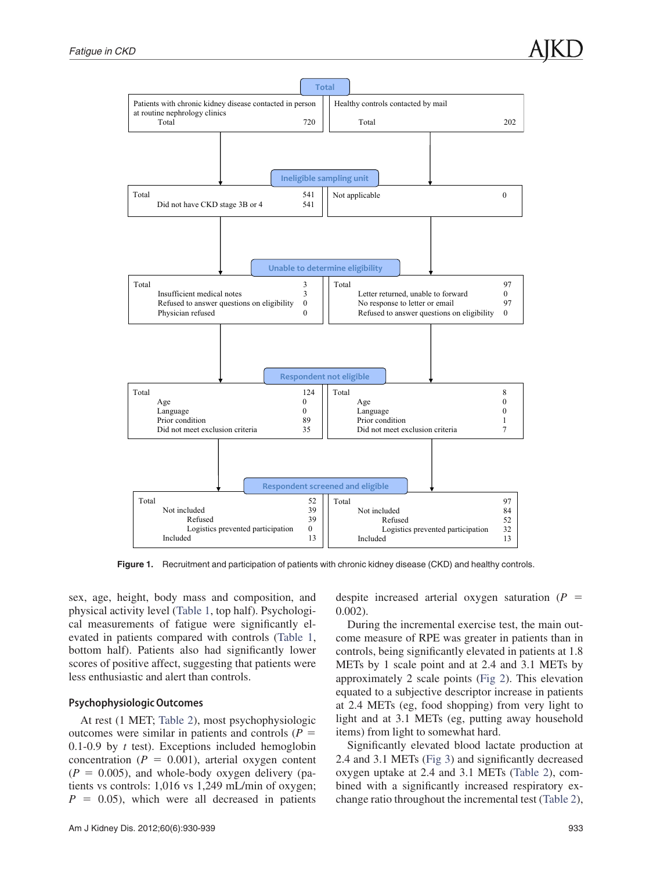at routine nephrology clinics





<span id="page-3-0"></span>**Figure 1.** Recruitment and participation of patients with chronic kidney disease (CKD) and healthy controls.

Included

sex, age, height, body mass and composition, and physical activity level [\(Table 1,](#page-4-0) top half). Psychological measurements of fatigue were significantly elevated in patients compared with controls [\(Table 1,](#page-4-0) bottom half). Patients also had significantly lower scores of positive affect, suggesting that patients were less enthusiastic and alert than controls.

Logistics prevented participation Included 13

#### **Psychophysiologic Outcomes**

At rest (1 MET; [Table 2\)](#page-5-0), most psychophysiologic outcomes were similar in patients and controls  $(P =$ 0.1-0.9 by *t* test). Exceptions included hemoglobin concentration  $(P = 0.001)$ , arterial oxygen content  $(P = 0.005)$ , and whole-body oxygen delivery (patients vs controls: 1,016 vs 1,249 mL/min of oxygen;  $P = 0.05$ , which were all decreased in patients

despite increased arterial oxygen saturation  $(P =$ 0.002).

Logistics prevented participation 32<br>d

During the incremental exercise test, the main outcome measure of RPE was greater in patients than in controls, being significantly elevated in patients at 1.8 METs by 1 scale point and at 2.4 and 3.1 METs by approximately 2 scale points [\(Fig 2\)](#page-6-0). This elevation equated to a subjective descriptor increase in patients at 2.4 METs (eg, food shopping) from very light to light and at 3.1 METs (eg, putting away household items) from light to somewhat hard.

Significantly elevated blood lactate production at 2.4 and 3.1 METs [\(Fig 3\)](#page-6-1) and significantly decreased oxygen uptake at 2.4 and 3.1 METs [\(Table 2\)](#page-5-0), combined with a significantly increased respiratory exchange ratio throughout the incremental test [\(Table 2\)](#page-5-0),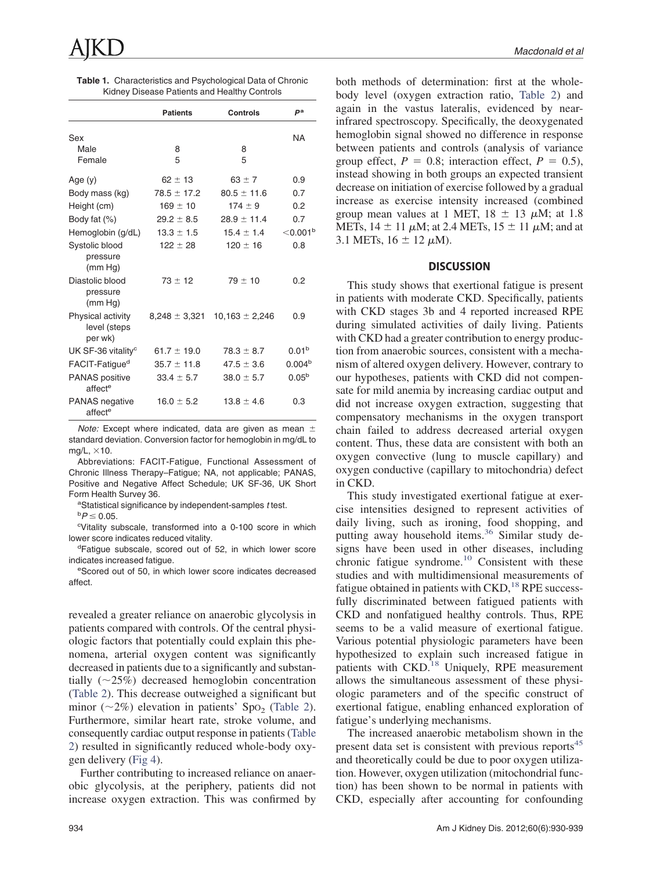<span id="page-4-0"></span>

| Table 1. Characteristics and Psychological Data of Chronic |
|------------------------------------------------------------|
| Kidney Disease Patients and Healthy Controls               |

|                                              | <b>Patients</b>   | Controls           | pa                     |
|----------------------------------------------|-------------------|--------------------|------------------------|
| Sex                                          |                   |                    | <b>NA</b>              |
| Male                                         | 8                 | 8                  |                        |
| Female                                       | 5                 | 5                  |                        |
| Age $(y)$                                    | $62 \pm 13$       | $63 \pm 7$         | 0.9                    |
| Body mass (kg)                               | $78.5 \pm 17.2$   | $80.5 \pm 11.6$    | 0.7                    |
| Height (cm)                                  | $169 \pm 10$      | $174 \pm 9$        | 0.2                    |
| Body fat (%)                                 | $29.2 \pm 8.5$    | $28.9 \pm 11.4$    | 0.7                    |
| Hemoglobin (g/dL)                            | $13.3 \pm 1.5$    | $15.4 \pm 1.4$     | $<$ 0.001 <sup>b</sup> |
| Systolic blood<br>pressure<br>(mm Hq)        | $122 \pm 28$      | $120 \pm 16$       | 0.8                    |
| Diastolic blood<br>pressure<br>(mm Hg)       | $73 \pm 12$       | $79 \pm 10$        | 0.2                    |
| Physical activity<br>level (steps<br>per wk) | $8,248 \pm 3,321$ | $10,163 \pm 2,246$ | 0.9                    |
| UK SF-36 vitality <sup>c</sup>               | 61.7 $\pm$ 19.0   | $78.3 \pm 8.7$     | 0.01 <sup>b</sup>      |
| FACIT-Fatique <sup>d</sup>                   | $35.7 \pm 11.8$   | $47.5 \pm 3.6$     | $0.004^{b}$            |
| <b>PANAS</b> positive<br>affect <sup>e</sup> | $33.4 \pm 5.7$    | $38.0 \pm 5.7$     | 0.05 <sup>b</sup>      |
| <b>PANAS</b> negative<br>affect <sup>e</sup> | $16.0 \pm 5.2$    | $13.8 \pm 4.6$     | 0.3                    |

*Note:* Except where indicated, data are given as mean  $\pm$ standard deviation. Conversion factor for hemoglobin in mg/dL to mg/L,  $\times$ 10.

Abbreviations: FACIT-Fatigue, Functional Assessment of Chronic Illness Therapy–Fatigue; NA, not applicable; PANAS, Positive and Negative Affect Schedule; UK SF-36, UK Short Form Health Survey 36.

a Statistical significance by independent-samples *t* test.

 ${}^{\text{b}}P \leq 0.05.$ 

<sup>c</sup>Vitality subscale, transformed into a 0-100 score in which lower score indicates reduced vitality.

d Fatigue subscale, scored out of 52, in which lower score indicates increased fatigue.

e Scored out of 50, in which lower score indicates decreased affect.

revealed a greater reliance on anaerobic glycolysis in patients compared with controls. Of the central physiologic factors that potentially could explain this phenomena, arterial oxygen content was significantly decreased in patients due to a significantly and substantially  $(\sim 25\%)$  decreased hemoglobin concentration [\(Table 2\)](#page-5-0). This decrease outweighed a significant but minor ( $\sim$ 2%) elevation in patients' Spo<sub>2</sub> [\(Table 2\)](#page-5-0). Furthermore, similar heart rate, stroke volume, and consequently cardiac output response in patients [\(Table](#page-5-0) [2\)](#page-5-0) resulted in significantly reduced whole-body oxygen delivery [\(Fig 4\)](#page-7-1).

Further contributing to increased reliance on anaerobic glycolysis, at the periphery, patients did not increase oxygen extraction. This was confirmed by

both methods of determination: first at the wholebody level (oxygen extraction ratio, [Table 2\)](#page-5-0) and again in the vastus lateralis, evidenced by nearinfrared spectroscopy. Specifically, the deoxygenated hemoglobin signal showed no difference in response between patients and controls (analysis of variance group effect,  $P = 0.8$ ; interaction effect,  $P = 0.5$ ), instead showing in both groups an expected transient decrease on initiation of exercise followed by a gradual increase as exercise intensity increased (combined group mean values at 1 MET,  $18 \pm 13 \mu$ M; at 1.8 METs,  $14 \pm 11 \mu M$ ; at 2.4 METs,  $15 \pm 11 \mu M$ ; and at 3.1 METs,  $16 \pm 12 \mu M$ ).

#### **DISCUSSION**

This study shows that exertional fatigue is present in patients with moderate CKD. Specifically, patients with CKD stages 3b and 4 reported increased RPE during simulated activities of daily living. Patients with CKD had a greater contribution to energy production from anaerobic sources, consistent with a mechanism of altered oxygen delivery. However, contrary to our hypotheses, patients with CKD did not compensate for mild anemia by increasing cardiac output and did not increase oxygen extraction, suggesting that compensatory mechanisms in the oxygen transport chain failed to address decreased arterial oxygen content. Thus, these data are consistent with both an oxygen convective (lung to muscle capillary) and oxygen conductive (capillary to mitochondria) defect in CKD.

This study investigated exertional fatigue at exercise intensities designed to represent activities of daily living, such as ironing, food shopping, and putting away household items.<sup>[36](#page-8-23)</sup> Similar study designs have been used in other diseases, including chronic fatigue syndrome.<sup>[10](#page-8-5)</sup> Consistent with these studies and with multidimensional measurements of fatigue obtained in patients with  $CKD$ , <sup>18</sup> RPE successfully discriminated between fatigued patients with CKD and nonfatigued healthy controls. Thus, RPE seems to be a valid measure of exertional fatigue. Various potential physiologic parameters have been hypothesized to explain such increased fatigue in patients with CKD.<sup>[18](#page-8-9)</sup> Uniquely, RPE measurement allows the simultaneous assessment of these physiologic parameters and of the specific construct of exertional fatigue, enabling enhanced exploration of fatigue's underlying mechanisms.

The increased anaerobic metabolism shown in the present data set is consistent with previous reports<sup>[45](#page-9-2)</sup> and theoretically could be due to poor oxygen utilization. However, oxygen utilization (mitochondrial function) has been shown to be normal in patients with CKD, especially after accounting for confounding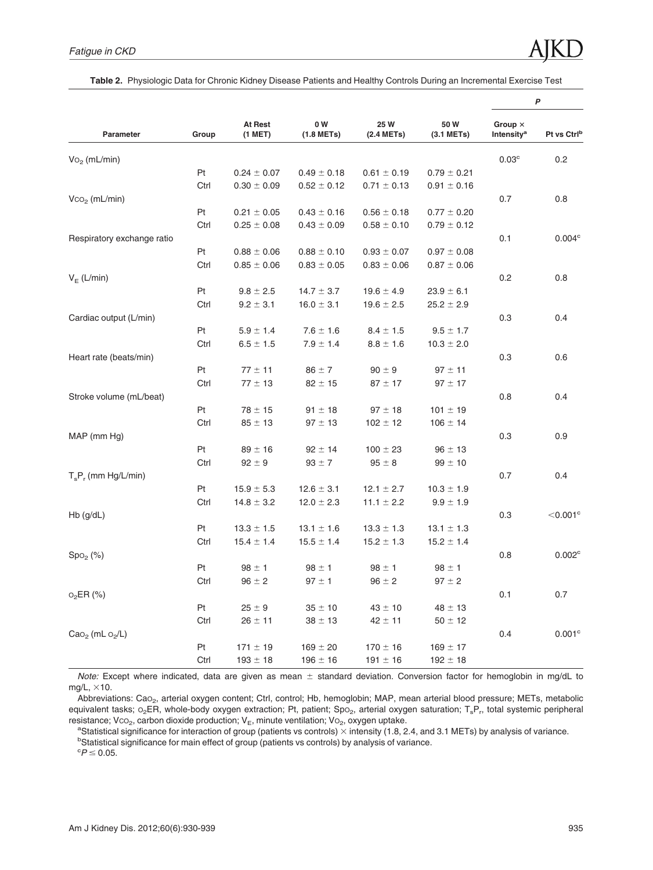<span id="page-5-0"></span>**Table 2.** Physiologic Data for Chronic Kidney Disease Patients and Healthy Controls During an Incremental Exercise Test

|                            | Group | At Rest<br>(1 MET) | 0W<br>$(1.8$ METs) | 25 W<br>(2.4 METs) | 50 W<br>(3.1 METs) | P                                              |                      |
|----------------------------|-------|--------------------|--------------------|--------------------|--------------------|------------------------------------------------|----------------------|
| Parameter                  |       |                    |                    |                    |                    | Group $\times$<br><b>Intensity<sup>a</sup></b> | Pt vs Ctrlb          |
| $Vo2$ (mL/min)             |       |                    |                    |                    |                    | 0.03 <sup>c</sup>                              | 0.2                  |
|                            | Pt    | $0.24 \pm 0.07$    | $0.49 \pm 0.18$    | $0.61 \pm 0.19$    | $0.79 \pm 0.21$    |                                                |                      |
|                            | Ctrl  | $0.30 \pm 0.09$    | $0.52 \pm 0.12$    | $0.71 \pm 0.13$    | $0.91 \pm 0.16$    |                                                |                      |
| $VCO2$ (mL/min)            |       |                    |                    |                    |                    | 0.7                                            | 0.8                  |
|                            | Pt    | $0.21 \pm 0.05$    | $0.43 \pm 0.16$    | $0.56 \pm 0.18$    | $0.77 \pm 0.20$    |                                                |                      |
|                            | Ctrl  | $0.25 \pm 0.08$    | $0.43 \pm 0.09$    | $0.58 \pm 0.10$    | $0.79 \pm 0.12$    |                                                |                      |
| Respiratory exchange ratio |       |                    |                    |                    |                    | 0.1                                            | 0.004 <sup>c</sup>   |
|                            | Pt    | $0.88\pm0.06$      | $0.88 \pm 0.10$    | $0.93 \pm 0.07$    | $0.97\pm0.08$      |                                                |                      |
|                            | Ctrl  | $0.85 \pm 0.06$    | $0.83 \pm 0.05$    | $0.83 \pm 0.06$    | $0.87 \pm 0.06$    |                                                |                      |
| $V_F$ (L/min)              |       |                    |                    |                    |                    | 0.2                                            | 0.8                  |
|                            | Pt    | $9.8 \pm 2.5$      | $14.7 \pm 3.7$     | $19.6 \pm 4.9$     | $23.9 \pm 6.1$     |                                                |                      |
|                            | Ctrl  | $9.2 \pm 3.1$      | $16.0 \pm 3.1$     | $19.6 \pm 2.5$     | $25.2 \pm 2.9$     |                                                |                      |
| Cardiac output (L/min)     |       |                    |                    |                    |                    | 0.3                                            | 0.4                  |
|                            | Pt    | $5.9 \pm 1.4$      | $7.6 \pm 1.6$      | $8.4 \pm 1.5$      | $9.5 \pm 1.7$      |                                                |                      |
|                            | Ctrl  | $6.5 \pm 1.5$      | $7.9 \pm 1.4$      | $8.8 \pm 1.6$      | $10.3 \pm 2.0$     |                                                |                      |
| Heart rate (beats/min)     |       |                    |                    |                    |                    | 0.3                                            | 0.6                  |
|                            | Pt    | $77 \pm 11$        | $86 \pm 7$         | $90 \pm 9$         | $97 \pm 11$        |                                                |                      |
|                            | Ctrl  | $77 \pm 13$        | $82 \pm 15$        | $87 \pm 17$        | $97 \pm 17$        |                                                |                      |
| Stroke volume (mL/beat)    |       |                    |                    |                    |                    | 0.8                                            | 0.4                  |
|                            | Pt    | $78 \pm 15$        | $91 \pm 18$        | $97 \pm 18$        | $101 \pm 19$       |                                                |                      |
|                            | Ctrl  | $85 \pm 13$        | $97 \pm 13$        | $102 \pm 12$       | $106 \pm 14$       |                                                |                      |
| MAP (mm Hg)                |       |                    |                    |                    |                    | 0.3                                            | 0.9                  |
|                            | Pt    | $89 \pm 16$        | $92 \pm 14$        | $100 \pm 23$       | $96 \pm 13$        |                                                |                      |
|                            | Ctrl  | $92 \pm 9$         | $93 \pm 7$         | $95 \pm 8$         | $99 \pm 10$        |                                                |                      |
| $T_s P_r$ (mm Hg/L/min)    |       |                    |                    |                    |                    | 0.7                                            | 0.4                  |
|                            | Pt    | $15.9 \pm 5.3$     | $12.6 \pm 3.1$     | $12.1 \pm 2.7$     | $10.3 \pm 1.9$     |                                                |                      |
|                            | Ctrl  | $14.8 \pm 3.2$     | $12.0 \pm 2.3$     | $11.1 \pm 2.2$     | $9.9 \pm 1.9$      |                                                |                      |
| $Hb$ (g/dL)                |       |                    |                    |                    |                    | 0.3                                            | $<$ 0.001 $^{\circ}$ |
|                            | Pt    | $13.3 \pm 1.5$     | $13.1 \pm 1.6$     | $13.3 \pm 1.3$     | $13.1 \pm 1.3$     |                                                |                      |
|                            | Ctrl  | $15.4 \pm 1.4$     | $15.5 \pm 1.4$     | $15.2 \pm 1.3$     | $15.2 \pm 1.4$     |                                                |                      |
| Spo <sub>2</sub> (%)       |       |                    |                    |                    |                    | 0.8                                            | 0.002 <sup>c</sup>   |
|                            | Pt    | $98 \pm 1$         | $98 \pm 1$         | $98 \pm 1$         | $98 \pm 1$         |                                                |                      |
|                            | Ctrl  | $96 \pm 2$         | $97 \pm 1$         | $96 \pm 2$         | $97 \pm 2$         |                                                |                      |
| $O_{2}ER(%)$               |       |                    |                    |                    |                    | 0.1                                            | 0.7                  |
|                            | Pt    | $25 \pm 9$         | $35 \pm 10$        | $43 \pm 10$        | $48 \pm 13$        |                                                |                      |
|                            | Ctrl  | $26 \pm 11$        | $38 \pm 13$        | $42 \pm 11$        | $50 \pm 12$        |                                                |                      |
| $CaO2$ (mL $O2/L$ )        |       |                    |                    |                    |                    | 0.4                                            | $0.001$ <sup>c</sup> |
|                            | Pt    | $171 \pm 19$       | $169 \pm 20$       | $170 \pm 16$       | $169 \pm 17$       |                                                |                      |
|                            | Ctrl  | $193 \pm 18$       | $196 \pm 16$       | $191 \pm 16$       | $192 \pm 18$       |                                                |                      |

*Note:* Except where indicated, data are given as mean  $\pm$  standard deviation. Conversion factor for hemoglobin in mg/dL to mg/L,  $\times$  10.

Abbreviations: Cao<sub>2</sub>, arterial oxygen content; Ctrl, control; Hb, hemoglobin; MAP, mean arterial blood pressure; METs, metabolic equivalent tasks;  $\rm o_2$ ER, whole-body oxygen extraction; Pt, patient; Spo<sub>2</sub>, arterial oxygen saturation; T<sub>s</sub>P<sub>r</sub>, total systemic peripheral resistance; Vco<sub>2</sub>, carbon dioxide production; V<sub>E</sub>, minute ventilation; Vo<sub>2</sub>, oxygen uptake.

 $\text{R}^3$ Statistical significance for interaction of group (patients vs controls)  $\times$  intensity (1.8, 2.4, and 3.1 METs) by analysis of variance.

<sup>b</sup>Statistical significance for main effect of group (patients vs controls) by analysis of variance.

 $\mathrm{^{c}}P$   $\leq$  0.05.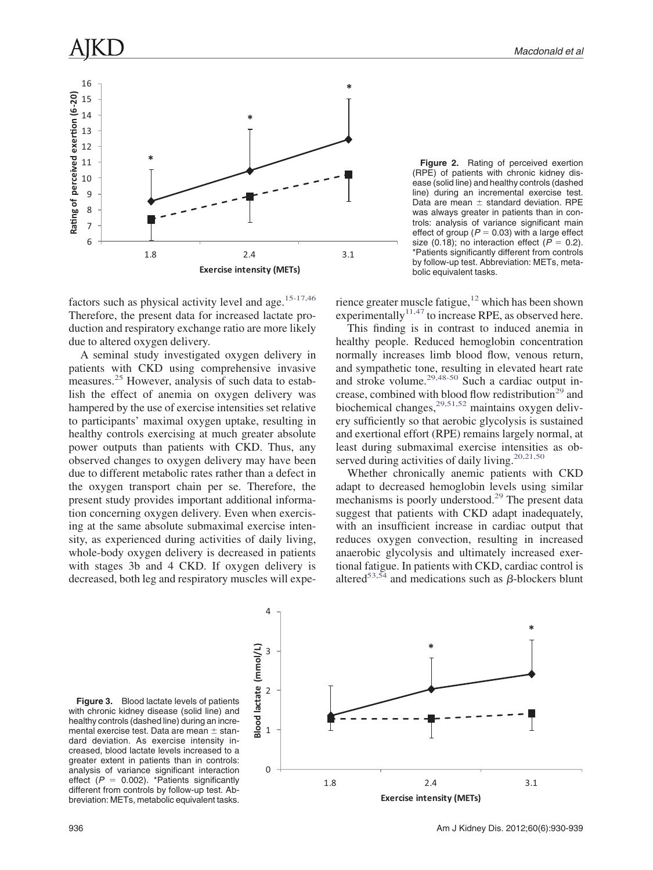

factors such as physical activity level and age.<sup>[15-17,46](#page-8-29)</sup> Therefore, the present data for increased lactate production and respiratory exchange ratio are more likely due to altered oxygen delivery.

A seminal study investigated oxygen delivery in patients with CKD using comprehensive invasive measures.<sup>[25](#page-8-13)</sup> However, analysis of such data to establish the effect of anemia on oxygen delivery was hampered by the use of exercise intensities set relative to participants' maximal oxygen uptake, resulting in healthy controls exercising at much greater absolute power outputs than patients with CKD. Thus, any observed changes to oxygen delivery may have been due to different metabolic rates rather than a defect in the oxygen transport chain per se. Therefore, the present study provides important additional information concerning oxygen delivery. Even when exercising at the same absolute submaximal exercise intensity, as experienced during activities of daily living, whole-body oxygen delivery is decreased in patients with stages 3b and 4 CKD. If oxygen delivery is decreased, both leg and respiratory muscles will expe-

4

<span id="page-6-0"></span>**Figure 2.** Rating of perceived exertion (RPE) of patients with chronic kidney disease (solid line) and healthy controls (dashed line) during an incremental exercise test. Data are mean  $\pm$  standard deviation. RPE was always greater in patients than in controls: analysis of variance significant main effect of group ( $P = 0.03$ ) with a large effect size (0.18); no interaction effect  $(P = 0.2)$ . \*Patients significantly different from controls by follow-up test. Abbreviation: METs, metabolic equivalent tasks.

rience greater muscle fatigue, $12$  which has been shown experimentally<sup>11,47</sup> to increase RPE, as observed here.

This finding is in contrast to induced anemia in healthy people. Reduced hemoglobin concentration normally increases limb blood flow, venous return, and sympathetic tone, resulting in elevated heart rate and stroke volume. $29,48-50$  Such a cardiac output in-crease, combined with blood flow redistribution<sup>[29](#page-8-17)</sup> and biochemical changes,  $29,51,52$  maintains oxygen delivery sufficiently so that aerobic glycolysis is sustained and exertional effort (RPE) remains largely normal, at least during submaximal exercise intensities as observed during activities of daily living. $20,21,50$ 

Whether chronically anemic patients with CKD adapt to decreased hemoglobin levels using similar mechanisms is poorly understood.<sup>[29](#page-8-17)</sup> The present data suggest that patients with CKD adapt inadequately, with an insufficient increase in cardiac output that reduces oxygen convection, resulting in increased anaerobic glycolysis and ultimately increased exertional fatigue. In patients with CKD, cardiac control is altered<sup>[53,54](#page-9-3)</sup> and medications such as  $\beta$ -blockers blunt

<span id="page-6-1"></span>**Figure 3.** Blood lactate levels of patients with chronic kidney disease (solid line) and healthy controls (dashed line) during an incremental exercise test. Data are mean  $\pm$  standard deviation. As exercise intensity increased, blood lactate levels increased to a greater extent in patients than in controls: analysis of variance significant interaction effect  $(P = 0.002)$ . \*Patients significantly different from controls by follow-up test. Abbreviation: METs, metabolic equivalent tasks.

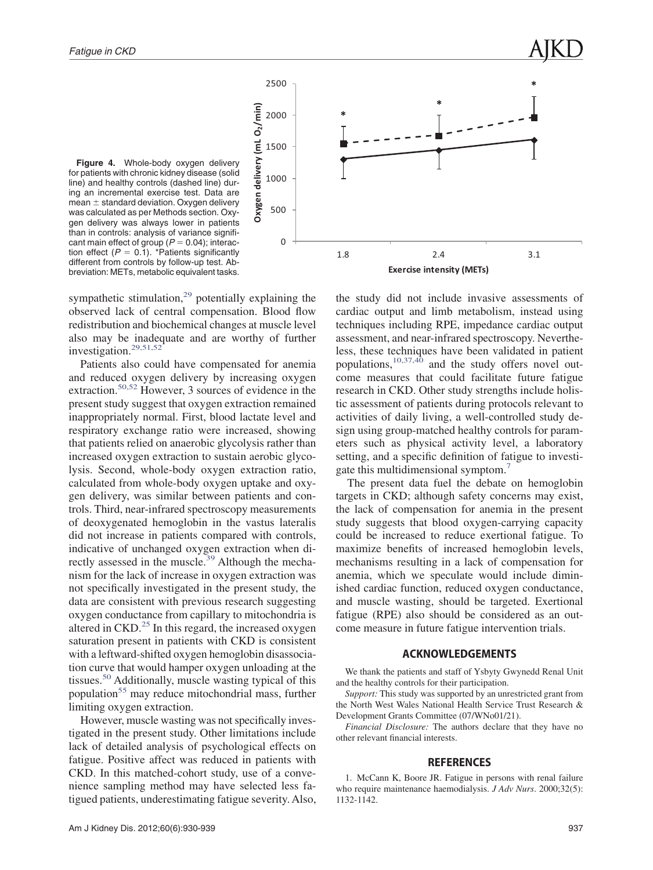

<span id="page-7-1"></span>**Figure 4.** Whole-body oxygen delivery for patients with chronic kidney disease (solid line) and healthy controls (dashed line) during an incremental exercise test. Data are mean  $\pm$  standard deviation. Oxygen delivery was calculated as per Methods section. Oxygen delivery was always lower in patients than in controls: analysis of variance significant main effect of group ( $P = 0.04$ ); interaction effect  $(P = 0.1)$ . \*Patients significantly different from controls by follow-up test. Abbreviation: METs, metabolic equivalent tasks.

sympathetic stimulation, $2^9$  potentially explaining the observed lack of central compensation. Blood flow redistribution and biochemical changes at muscle level also may be inadequate and are worthy of further investigation.[29,51,52](#page-8-17)

Patients also could have compensated for anemia and reduced oxygen delivery by increasing oxygen extraction.<sup>[50,52](#page-9-4)</sup> However, 3 sources of evidence in the present study suggest that oxygen extraction remained inappropriately normal. First, blood lactate level and respiratory exchange ratio were increased, showing that patients relied on anaerobic glycolysis rather than increased oxygen extraction to sustain aerobic glycolysis. Second, whole-body oxygen extraction ratio, calculated from whole-body oxygen uptake and oxygen delivery, was similar between patients and controls. Third, near-infrared spectroscopy measurements of deoxygenated hemoglobin in the vastus lateralis did not increase in patients compared with controls, indicative of unchanged oxygen extraction when di-rectly assessed in the muscle.<sup>[39](#page-8-26)</sup> Although the mechanism for the lack of increase in oxygen extraction was not specifically investigated in the present study, the data are consistent with previous research suggesting oxygen conductance from capillary to mitochondria is altered in  $CKD<sup>25</sup>$  In this regard, the increased oxygen saturation present in patients with CKD is consistent with a leftward-shifted oxygen hemoglobin disassociation curve that would hamper oxygen unloading at the tissues.[50](#page-9-4) Additionally, muscle wasting typical of this population<sup>[55](#page-9-5)</sup> may reduce mitochondrial mass, further limiting oxygen extraction.

However, muscle wasting was not specifically investigated in the present study. Other limitations include lack of detailed analysis of psychological effects on fatigue. Positive affect was reduced in patients with CKD. In this matched-cohort study, use of a convenience sampling method may have selected less fatigued patients, underestimating fatigue severity. Also, the study did not include invasive assessments of cardiac output and limb metabolism, instead using techniques including RPE, impedance cardiac output assessment, and near-infrared spectroscopy. Nevertheless, these techniques have been validated in patient populations,  $10,37,40$  and the study offers novel outcome measures that could facilitate future fatigue research in CKD. Other study strengths include holistic assessment of patients during protocols relevant to activities of daily living, a well-controlled study design using group-matched healthy controls for parameters such as physical activity level, a laboratory setting, and a specific definition of fatigue to investi-gate this multidimensional symptom.<sup>[7](#page-8-2)</sup>

The present data fuel the debate on hemoglobin targets in CKD; although safety concerns may exist, the lack of compensation for anemia in the present study suggests that blood oxygen-carrying capacity could be increased to reduce exertional fatigue. To maximize benefits of increased hemoglobin levels, mechanisms resulting in a lack of compensation for anemia, which we speculate would include diminished cardiac function, reduced oxygen conductance, and muscle wasting, should be targeted. Exertional fatigue (RPE) also should be considered as an outcome measure in future fatigue intervention trials.

#### **ACKNOWLEDGEMENTS**

We thank the patients and staff of Ysbyty Gwynedd Renal Unit and the healthy controls for their participation.

*Support:* This study was supported by an unrestricted grant from the North West Wales National Health Service Trust Research & Development Grants Committee (07/WNo01/21).

*Financial Disclosure:* The authors declare that they have no other relevant financial interests.

### **REFERENCES**

<span id="page-7-0"></span>1. McCann K, Boore JR. Fatigue in persons with renal failure who require maintenance haemodialysis. *J Adv Nurs*. 2000;32(5): 1132-1142.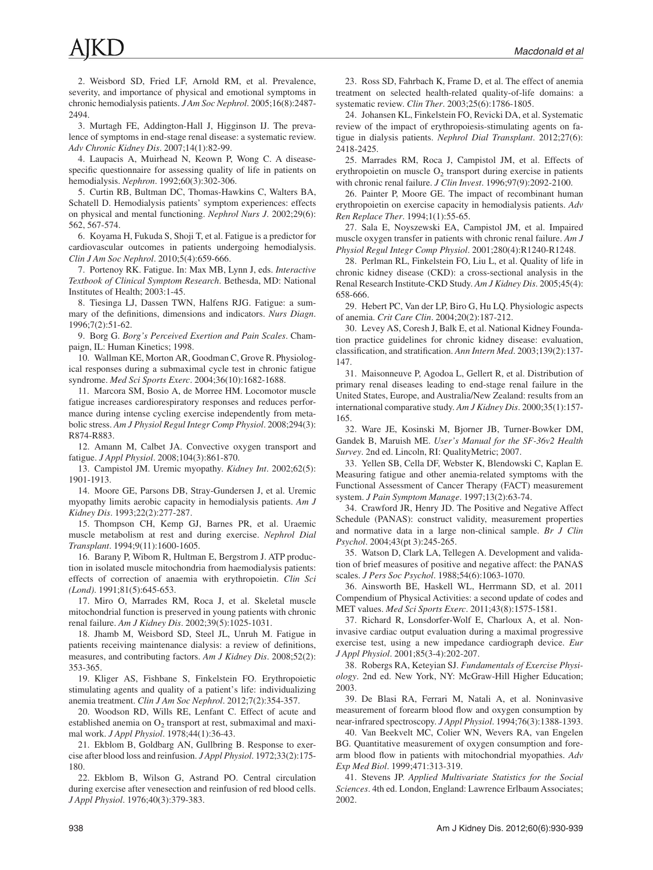<span id="page-8-0"></span>2. Weisbord SD, Fried LF, Arnold RM, et al. Prevalence, severity, and importance of physical and emotional symptoms in chronic hemodialysis patients. *J Am Soc Nephrol*. 2005;16(8):2487- 2494.

3. Murtagh FE, Addington-Hall J, Higginson IJ. The prevalence of symptoms in end-stage renal disease: a systematic review. *Adv Chronic Kidney Dis*. 2007;14(1):82-99.

4. Laupacis A, Muirhead N, Keown P, Wong C. A diseasespecific questionnaire for assessing quality of life in patients on hemodialysis. *Nephron*. 1992;60(3):302-306.

5. Curtin RB, Bultman DC, Thomas-Hawkins C, Walters BA, Schatell D. Hemodialysis patients' symptom experiences: effects on physical and mental functioning. *Nephrol Nurs J*. 2002;29(6): 562, 567-574.

<span id="page-8-1"></span>6. Koyama H, Fukuda S, Shoji T, et al. Fatigue is a predictor for cardiovascular outcomes in patients undergoing hemodialysis. *Clin J Am Soc Nephrol*. 2010;5(4):659-666.

<span id="page-8-2"></span>7. Portenoy RK. Fatigue. In: Max MB, Lynn J, eds. *Interactive Textbook of Clinical Symptom Research*. Bethesda, MD: National Institutes of Health; 2003:1-45.

<span id="page-8-3"></span>8. Tiesinga LJ, Dassen TWN, Halfens RJG. Fatigue: a summary of the definitions, dimensions and indicators. *Nurs Diagn*. 1996;7(2):51-62.

<span id="page-8-5"></span><span id="page-8-4"></span>9. Borg G. *Borg's Perceived Exertion and Pain Scales*. Champaign, IL: Human Kinetics; 1998.

10. Wallman KE, Morton AR, Goodman C, Grove R. Physiological responses during a submaximal cycle test in chronic fatigue syndrome. *Med Sci Sports Exerc*. 2004;36(10):1682-1688.

<span id="page-8-6"></span>11. Marcora SM, Bosio A, de Morree HM. Locomotor muscle fatigue increases cardiorespiratory responses and reduces performance during intense cycling exercise independently from metabolic stress. *Am J Physiol Regul Integr Comp Physiol*. 2008;294(3): R874-R883.

<span id="page-8-30"></span><span id="page-8-7"></span>12. Amann M, Calbet JA. Convective oxygen transport and fatigue. *J Appl Physiol*. 2008;104(3):861-870.

<span id="page-8-8"></span>13. Campistol JM. Uremic myopathy. *Kidney Int*. 2002;62(5): 1901-1913.

14. Moore GE, Parsons DB, Stray-Gundersen J, et al. Uremic myopathy limits aerobic capacity in hemodialysis patients. *Am J Kidney Dis*. 1993;22(2):277-287.

<span id="page-8-29"></span>15. Thompson CH, Kemp GJ, Barnes PR, et al. Uraemic muscle metabolism at rest and during exercise. *Nephrol Dial Transplant*. 1994;9(11):1600-1605.

16. Barany P, Wibom R, Hultman E, Bergstrom J. ATP production in isolated muscle mitochondria from haemodialysis patients: effects of correction of anaemia with erythropoietin. *Clin Sci (Lond)*. 1991;81(5):645-653.

17. Miro O, Marrades RM, Roca J, et al. Skeletal muscle mitochondrial function is preserved in young patients with chronic renal failure. *Am J Kidney Dis*. 2002;39(5):1025-1031.

<span id="page-8-9"></span>18. Jhamb M, Weisbord SD, Steel JL, Unruh M. Fatigue in patients receiving maintenance dialysis: a review of definitions, measures, and contributing factors. *Am J Kidney Dis*. 2008;52(2): 353-365.

<span id="page-8-11"></span><span id="page-8-10"></span>19. Kliger AS, Fishbane S, Finkelstein FO. Erythropoietic stimulating agents and quality of a patient's life: individualizing anemia treatment. *Clin J Am Soc Nephrol*. 2012;7(2):354-357.

20. Woodson RD, Wills RE, Lenfant C. Effect of acute and established anemia on  $O_2$  transport at rest, submaximal and maximal work. *J Appl Physiol*. 1978;44(1):36-43.

21. Ekblom B, Goldbarg AN, Gullbring B. Response to exercise after blood loss and reinfusion. *J Appl Physiol*. 1972;33(2):175- 180.

22. Ekblom B, Wilson G, Astrand PO. Central circulation during exercise after venesection and reinfusion of red blood cells. *J Appl Physiol*. 1976;40(3):379-383.

<span id="page-8-12"></span>23. Ross SD, Fahrbach K, Frame D, et al. The effect of anemia treatment on selected health-related quality-of-life domains: a systematic review. *Clin Ther*. 2003;25(6):1786-1805.

24. Johansen KL, Finkelstein FO, Revicki DA, et al. Systematic review of the impact of erythropoiesis-stimulating agents on fatigue in dialysis patients. *Nephrol Dial Transplant*. 2012;27(6): 2418-2425.

<span id="page-8-13"></span>25. Marrades RM, Roca J, Campistol JM, et al. Effects of erythropoietin on muscle  $O<sub>2</sub>$  transport during exercise in patients with chronic renal failure. *J Clin Invest*. 1996;97(9):2092-2100.

<span id="page-8-14"></span>26. Painter P, Moore GE. The impact of recombinant human erythropoietin on exercise capacity in hemodialysis patients. *Adv Ren Replace Ther*. 1994;1(1):55-65.

<span id="page-8-15"></span>27. Sala E, Noyszewski EA, Campistol JM, et al. Impaired muscle oxygen transfer in patients with chronic renal failure. *Am J Physiol Regul Integr Comp Physiol*. 2001;280(4):R1240-R1248.

<span id="page-8-16"></span>28. Perlman RL, Finkelstein FO, Liu L, et al. Quality of life in chronic kidney disease (CKD): a cross-sectional analysis in the Renal Research Institute-CKD Study. *Am J Kidney Dis*. 2005;45(4): 658-666.

<span id="page-8-18"></span><span id="page-8-17"></span>29. Hebert PC, Van der LP, Biro G, Hu LQ. Physiologic aspects of anemia. *Crit Care Clin*. 2004;20(2):187-212.

30. Levey AS, Coresh J, Balk E, et al. National Kidney Foundation practice guidelines for chronic kidney disease: evaluation, classification, and stratification. *Ann Intern Med*. 2003;139(2):137- 147.

<span id="page-8-19"></span>31. Maisonneuve P, Agodoa L, Gellert R, et al. Distribution of primary renal diseases leading to end-stage renal failure in the United States, Europe, and Australia/New Zealand: results from an international comparative study. *Am J Kidney Dis*. 2000;35(1):157- 165.

<span id="page-8-20"></span>32. Ware JE, Kosinski M, Bjorner JB, Turner-Bowker DM, Gandek B, Maruish ME. *User's Manual for the SF-36v2 Health Survey*. 2nd ed. Lincoln, RI: QualityMetric; 2007.

<span id="page-8-21"></span>33. Yellen SB, Cella DF, Webster K, Blendowski C, Kaplan E. Measuring fatigue and other anemia-related symptoms with the Functional Assessment of Cancer Therapy (FACT) measurement system. *J Pain Symptom Manage*. 1997;13(2):63-74.

<span id="page-8-22"></span>34. Crawford JR, Henry JD. The Positive and Negative Affect Schedule (PANAS): construct validity, measurement properties and normative data in a large non-clinical sample. *Br J Clin Psychol*. 2004;43(pt 3):245-265.

35. Watson D, Clark LA, Tellegen A. Development and validation of brief measures of positive and negative affect: the PANAS scales. *J Pers Soc Psychol*. 1988;54(6):1063-1070.

<span id="page-8-23"></span>36. Ainsworth BE, Haskell WL, Herrmann SD, et al. 2011 Compendium of Physical Activities: a second update of codes and MET values. *Med Sci Sports Exerc*. 2011;43(8):1575-1581.

<span id="page-8-24"></span>37. Richard R, Lonsdorfer-Wolf E, Charloux A, et al. Noninvasive cardiac output evaluation during a maximal progressive exercise test, using a new impedance cardiograph device. *Eur J Appl Physiol*. 2001;85(3-4):202-207.

<span id="page-8-25"></span>38. Robergs RA, Keteyian SJ. *Fundamentals of Exercise Physiology*. 2nd ed. New York, NY: McGraw-Hill Higher Education; 2003.

<span id="page-8-27"></span><span id="page-8-26"></span>39. De Blasi RA, Ferrari M, Natali A, et al. Noninvasive measurement of forearm blood flow and oxygen consumption by near-infrared spectroscopy. *J Appl Physiol*. 1994;76(3):1388-1393.

40. Van Beekvelt MC, Colier WN, Wevers RA, van Engelen BG. Quantitative measurement of oxygen consumption and forearm blood flow in patients with mitochondrial myopathies. *Adv Exp Med Biol*. 1999;471:313-319.

<span id="page-8-28"></span>41. Stevens JP. *Applied Multivariate Statistics for the Social Sciences*. 4th ed. London, England: Lawrence Erlbaum Associates; 2002.